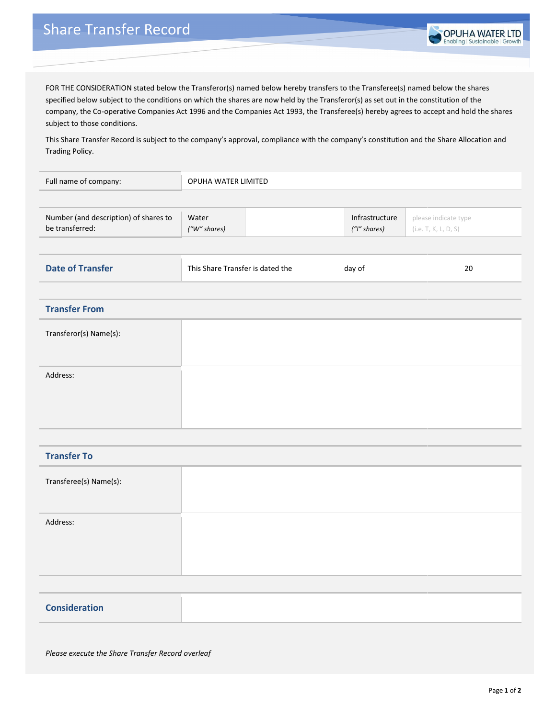

FOR THE CONSIDERATION stated below the Transferor(s) named below hereby transfers to the Transferee(s) named below the shares specified below subject to the conditions on which the shares are now held by the Transferor(s) as set out in the constitution of the company, the Co-operative Companies Act 1996 and the Companies Act 1993, the Transferee(s) hereby agrees to accept and hold the shares subject to those conditions.

This Share Transfer Record is subject to the company's approval, compliance with the company's constitution and the Share Allocation and Trading Policy.

| Full name of company:                                    | OPUHA WATER LIMITED              |  |                                |                                              |
|----------------------------------------------------------|----------------------------------|--|--------------------------------|----------------------------------------------|
|                                                          |                                  |  |                                |                                              |
| Number (and description) of shares to<br>be transferred: | Water<br>("W" shares)            |  | Infrastructure<br>("I" shares) | please indicate type<br>(i.e. T, K, L, D, S) |
|                                                          |                                  |  |                                |                                              |
| <b>Date of Transfer</b>                                  | This Share Transfer is dated the |  | day of                         | $20\,$                                       |
| <b>Transfer From</b>                                     |                                  |  |                                |                                              |
| Transferor(s) Name(s):                                   |                                  |  |                                |                                              |
| Address:                                                 |                                  |  |                                |                                              |
|                                                          |                                  |  |                                |                                              |
| <b>Transfer To</b>                                       |                                  |  |                                |                                              |
| Transferee(s) Name(s):                                   |                                  |  |                                |                                              |
| Address:                                                 |                                  |  |                                |                                              |
|                                                          |                                  |  |                                |                                              |
| <b>Consideration</b>                                     |                                  |  |                                |                                              |

*Please execute the Share Transfer Record overleaf*